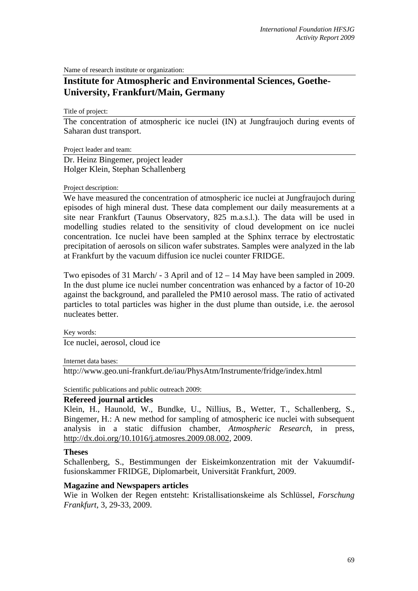Name of research institute or organization:

# **Institute for Atmospheric and Environmental Sciences, Goethe-University, Frankfurt/Main, Germany**

Title of project:

The concentration of atmospheric ice nuclei (IN) at Jungfraujoch during events of Saharan dust transport.

Project leader and team:

Dr. Heinz Bingemer, project leader Holger Klein, Stephan Schallenberg

## Project description:

We have measured the concentration of atmospheric ice nuclei at Jungfraujoch during episodes of high mineral dust. These data complement our daily measurements at a site near Frankfurt (Taunus Observatory, 825 m.a.s.l.). The data will be used in modelling studies related to the sensitivity of cloud development on ice nuclei concentration. Ice nuclei have been sampled at the Sphinx terrace by electrostatic precipitation of aerosols on silicon wafer substrates. Samples were analyzed in the lab at Frankfurt by the vacuum diffusion ice nuclei counter FRIDGE.

Two episodes of 31 March/ - 3 April and of 12 – 14 May have been sampled in 2009. In the dust plume ice nuclei number concentration was enhanced by a factor of 10-20 against the background, and paralleled the PM10 aerosol mass. The ratio of activated particles to total particles was higher in the dust plume than outside, i.e. the aerosol nucleates better.

Key words:

Ice nuclei, aerosol, cloud ice

Internet data bases:

http://www.geo.uni-frankfurt.de/iau/PhysAtm/Instrumente/fridge/index.html

Scientific publications and public outreach 2009:

## **Refereed journal articles**

Klein, H., Haunold, W., Bundke, U., Nillius, B., Wetter, T., Schallenberg, S., Bingemer, H.: A new method for sampling of atmospheric ice nuclei with subsequent analysis in a static diffusion chamber, *Atmospheric Research*, in press, http://dx.doi.org/10.1016/j.atmosres.2009.08.002, 2009.

## **Theses**

Schallenberg, S., Bestimmungen der Eiskeimkonzentration mit der Vakuumdiffusionskammer FRIDGE, Diplomarbeit, Universität Frankfurt, 2009.

## **Magazine and Newspapers articles**

Wie in Wolken der Regen entsteht: Kristallisationskeime als Schlüssel, *Forschung Frankfurt*, 3, 29-33, 2009.